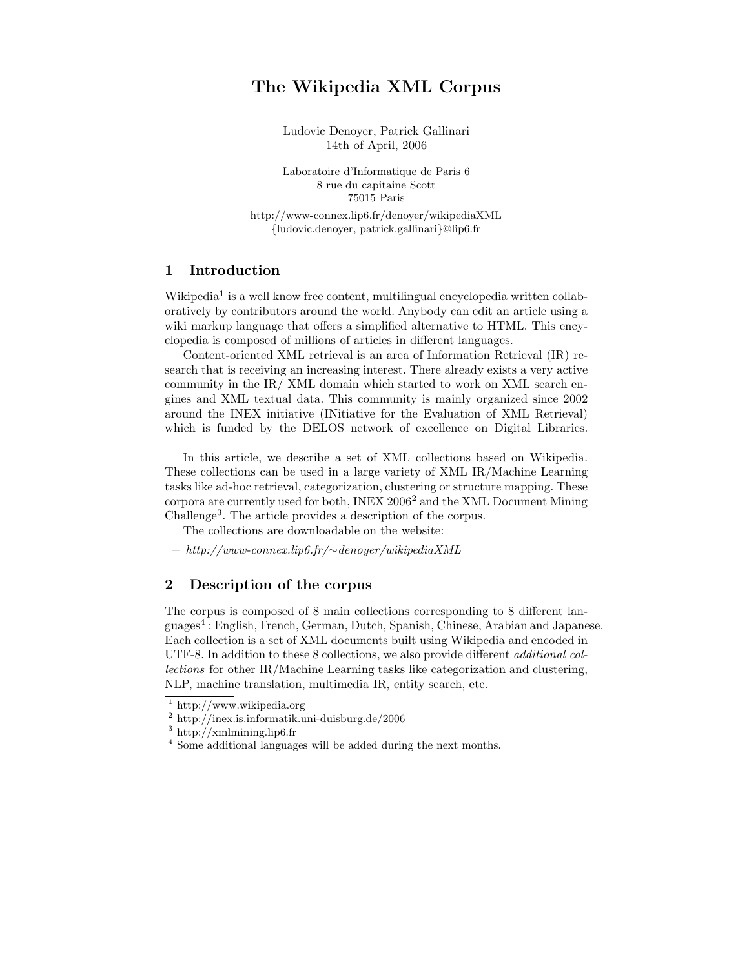# The Wikipedia XML Corpus

Ludovic Denoyer, Patrick Gallinari 14th of April, 2006

Laboratoire d'Informatique de Paris 6 8 rue du capitaine Scott 75015 Paris

http://www-connex.lip6.fr/denoyer/wikipediaXML {ludovic.denoyer, patrick.gallinari}@lip6.fr

### 1 Introduction

Wikipedia<sup>1</sup> is a well know free content, multilingual encyclopedia written collaboratively by contributors around the world. Anybody can edit an article using a wiki markup language that offers a simplified alternative to HTML. This encyclopedia is composed of millions of articles in different languages.

Content-oriented XML retrieval is an area of Information Retrieval (IR) research that is receiving an increasing interest. There already exists a very active community in the IR/ XML domain which started to work on XML search engines and XML textual data. This community is mainly organized since 2002 around the INEX initiative (INitiative for the Evaluation of XML Retrieval) which is funded by the DELOS network of excellence on Digital Libraries.

In this article, we describe a set of XML collections based on Wikipedia. These collections can be used in a large variety of XML IR/Machine Learning tasks like ad-hoc retrieval, categorization, clustering or structure mapping. These corpora are currently used for both, INEX  $2006^2$  and the XML Document Mining Challenge<sup>3</sup> . The article provides a description of the corpus.

The collections are downloadable on the website:

– http://www-connex.lip6.fr/∼denoyer/wikipediaXML

#### 2 Description of the corpus

The corpus is composed of 8 main collections corresponding to 8 different languages<sup>4</sup> : English, French, German, Dutch, Spanish, Chinese, Arabian and Japanese. Each collection is a set of XML documents built using Wikipedia and encoded in UTF-8. In addition to these 8 collections, we also provide different additional collections for other IR/Machine Learning tasks like categorization and clustering, NLP, machine translation, multimedia IR, entity search, etc.

<sup>1</sup> http://www.wikipedia.org

<sup>2</sup> http://inex.is.informatik.uni-duisburg.de/2006

 $^3$ http://xmlmining.lip6.fr

<sup>4</sup> Some additional languages will be added during the next months.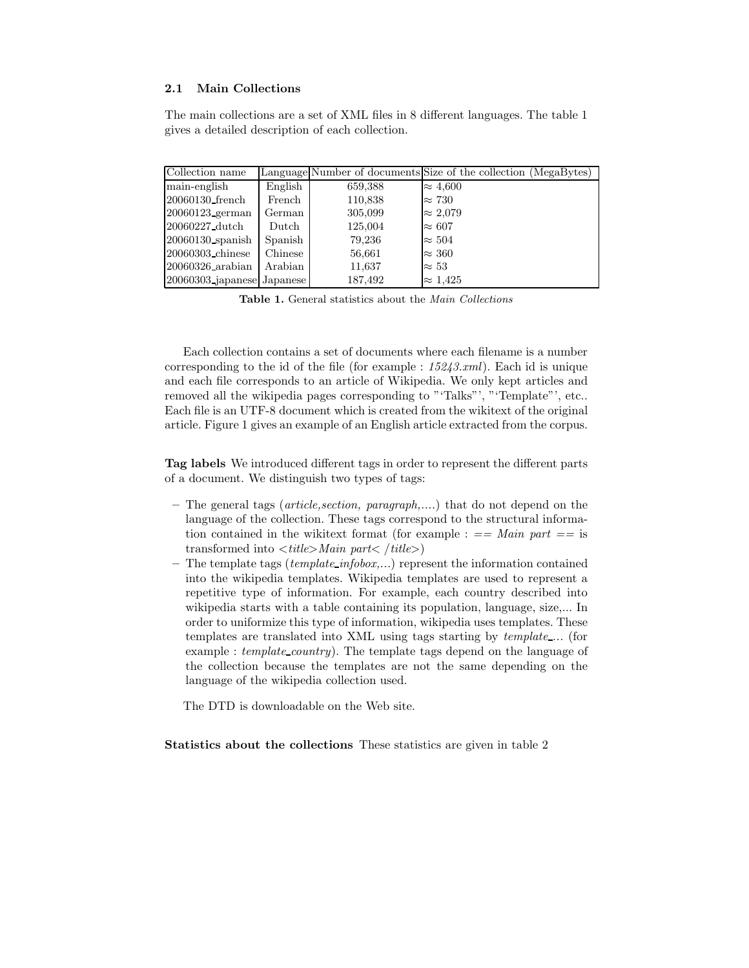### 2.1 Main Collections

The main collections are a set of XML files in 8 different languages. The table 1 gives a detailed description of each collection.

| Collection name                 |              |         | Language Number of documents Size of the collection (MegaBytes) |
|---------------------------------|--------------|---------|-----------------------------------------------------------------|
| main-english                    | English      | 659,388 | $\approx 4,600$                                                 |
| 20060130_french                 | French       | 110,838 | $\approx 730$                                                   |
| $20060123$ german               | German       | 305,099 | $\approx 2.079$                                                 |
| 20060227_dutch                  | $\rm{Dutch}$ | 125,004 | $\approx 607$                                                   |
| $20060130$ spanish              | Spanish      | 79,236  | $\approx 504$                                                   |
| 20060303_chinese                | Chinese      | 56,661  | $\approx 360$                                                   |
| $ 20060326$ <sub>-arabian</sub> | Arabian      | 11,637  | $\approx 53$                                                    |
| $20060303$ japanese Japanese    |              | 187,492 | $\approx 1.425$                                                 |

Table 1. General statistics about the Main Collections

Each collection contains a set of documents where each filename is a number corresponding to the id of the file (for example :  $15243.xml$ ). Each id is unique and each file corresponds to an article of Wikipedia. We only kept articles and removed all the wikipedia pages corresponding to "'Talks"', "'Template"', etc.. Each file is an UTF-8 document which is created from the wikitext of the original article. Figure 1 gives an example of an English article extracted from the corpus.

Tag labels We introduced different tags in order to represent the different parts of a document. We distinguish two types of tags:

- The general tags (article,section, paragraph,....) that do not depend on the language of the collection. These tags correspond to the structural information contained in the wikitext format (for example :  $==$  Main part  $==$  is transformed into  $\langle title \rangle$  Main part $\langle \text{title} \rangle$
- The template tags ( $template_infobox,...$ ) represent the information contained into the wikipedia templates. Wikipedia templates are used to represent a repetitive type of information. For example, each country described into wikipedia starts with a table containing its population, language, size,... In order to uniformize this type of information, wikipedia uses templates. These templates are translated into XML using tags starting by template ... (for example : template\_country). The template tags depend on the language of the collection because the templates are not the same depending on the language of the wikipedia collection used.

The DTD is downloadable on the Web site.

Statistics about the collections These statistics are given in table 2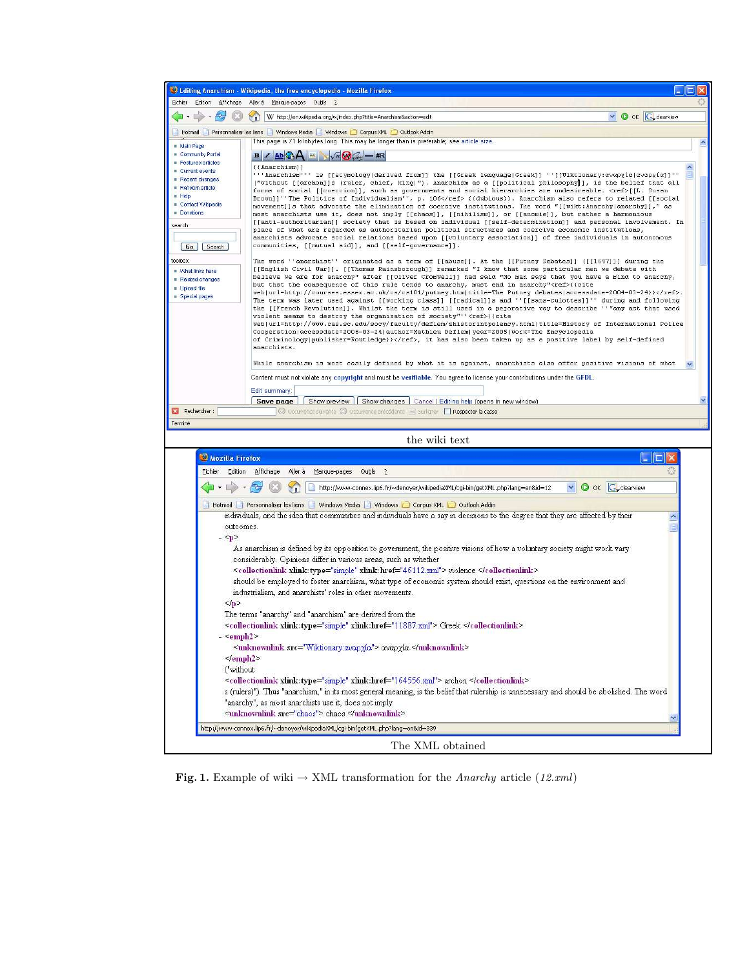|                                                                                                                                            | Editing Anarchism - Wikipedia, the free encyclopedia - Mozilla Firefox<br>- 10                                                                                                                                                |  |  |
|--------------------------------------------------------------------------------------------------------------------------------------------|-------------------------------------------------------------------------------------------------------------------------------------------------------------------------------------------------------------------------------|--|--|
| Edition<br>Affichage<br>Fichier.                                                                                                           | Aller à Marque-pages Outils ?<br>O OK G_clearview<br>W http://en.wikipedia.org/w/index.php?title=Anarchism&action=edit<br>$\mathbf{C}$                                                                                        |  |  |
|                                                                                                                                            | Hotmail Personnaliser les liens Windows Media Windows Corpus XML Outlook Addin                                                                                                                                                |  |  |
|                                                                                                                                            | This page is 71 kilobytes long. This may be longer than is preferable; see article size.                                                                                                                                      |  |  |
| Main Page<br>Community Portal                                                                                                              | $\sqrt{n}$ $\omega$ $-$ #R<br>$B \times AB$ $A =$                                                                                                                                                                             |  |  |
| Featured articles<br>Current events                                                                                                        | $({\Lambda} \nparchism)$                                                                                                                                                                                                      |  |  |
| Recent changes                                                                                                                             | '''Anarchism''' is [[etymology derived from]] the [[Greek language Greek]] ''[[Wiktionary:αναρχία αναρχία]]'<br>("without [[archon]]s (ruler, chief, king)"). Anarchism as a [[political philosophy]], is the belief that all |  |  |
| Random article<br><b>Help</b>                                                                                                              | forms of social [[coercion]], such as governments and social hierarchies are undesireable. <ref>[[L. Susan</ref>                                                                                                              |  |  |
| Contact Wikipedia                                                                                                                          | Brown]]''The Politics of Individualism'', p. 106 {{dubious}}. Anarchism also refers to related [[social<br>movement]]s that advocate the elimination of coercive institutions. The word "[[wikt:Anarchy anarchy]]," as        |  |  |
| Donations                                                                                                                                  | most anarchists use it, does not imply [[chaos]], [[nihilism]], or [[anomie]], but rather a harmonious<br>[[anti-authoritarian]] society that is based on individual [[self-determination]] and personal involvement. In      |  |  |
| search                                                                                                                                     | place of what are regarded as authoritarian political structures and coercive economic institutions,<br>anarchists advocate social relations based upon [[voluntary association]] of free individuals in autonomous           |  |  |
| Go Search                                                                                                                                  | communities, [[mutual aid]], and [[self-governance]].                                                                                                                                                                         |  |  |
| toolbox                                                                                                                                    | The word ''anarchist'' originated as a term of [[abuse]]. At the [[Putney Debates]] ([[1647]]) during the                                                                                                                     |  |  |
| Mhat links here                                                                                                                            | [[English Civil War]]. [[Thomas Rainsborough]] remarked "I know that some particular men we debate with<br>believe we are for anarchy" after [[Oliver Cromwell]] had said "No man says that you have a mind to anarchy,       |  |  |
| Related changes<br>Upload file                                                                                                             | but that the consequence of this rule tends to anarchy, must end in anarchy" <ref>{{cite</ref>                                                                                                                                |  |  |
| Special pages                                                                                                                              | web url=http://courses.essex.ac.uk/cs/cs101/putney.htm title=The Putney debates accessdate=2004-03-24}}.<br>The term was later used against [[working class]] [[radical]]s and ''[[sans-culottes]]'' during and following     |  |  |
|                                                                                                                                            | the [[French Revolution]]. Whilst the term is still used in a pejorative way to describe ''"any act that used<br>violent means to destroy the organization of society"'' <ref>{{cite</ref>                                    |  |  |
|                                                                                                                                            | web url=http://www.cas.sc.edu/socy/faculty/deflem/zhistorintpolency.html title=History of International Police<br>Cooperation accessdate=2006-03-24 author=Mathieu Deflem   year=2005   work=The Encyclopedia                 |  |  |
|                                                                                                                                            | of Criminology publisher=Routledge}}, it has also been taken up as a positive label by self-defined                                                                                                                           |  |  |
|                                                                                                                                            | anarchists.                                                                                                                                                                                                                   |  |  |
|                                                                                                                                            | While anarchism is most easily defined by what it is against, anarchists also offer positive visions of what                                                                                                                  |  |  |
|                                                                                                                                            | Content must not violate any copyright and must be verifiable. You agree to license your contributions under the GFDL.                                                                                                        |  |  |
|                                                                                                                                            | Edit summary:<br>Save page   Show preview   Show changes   Cancel   Editing help (opens in new window)                                                                                                                        |  |  |
| Rechercher:                                                                                                                                | C Occurrence suivante C Occurrence précédente El Surligner Fl Respecter la casse                                                                                                                                              |  |  |
| Terminé                                                                                                                                    |                                                                                                                                                                                                                               |  |  |
|                                                                                                                                            | the wiki text                                                                                                                                                                                                                 |  |  |
| Mozilla Firefox                                                                                                                            |                                                                                                                                                                                                                               |  |  |
| Fichier<br>Edition                                                                                                                         | Aller à<br>Affichage<br>Marque-pages Outils ?                                                                                                                                                                                 |  |  |
|                                                                                                                                            | <b>O</b> OK <b>G</b> clearview<br>http://www-connex.lip6.fr/~denoyer/wikipediaXML/cgi-bin/getXML.php?lang=en&id=12                                                                                                            |  |  |
|                                                                                                                                            | Hotmail   Personnaliser les liens   Windows Media   Windows   Corpus XML   Outlook Addin                                                                                                                                      |  |  |
| outcomes.                                                                                                                                  | individuals, and the idea that communities and individuals have a say in decisions to the degree that they are affected by their                                                                                              |  |  |
| $ \leq p$                                                                                                                                  |                                                                                                                                                                                                                               |  |  |
|                                                                                                                                            | As anarchism is defined by its opposition to government, the positive visions of how a voluntary society might work vary                                                                                                      |  |  |
|                                                                                                                                            | considerably. Opinions differ in various areas, such as whether                                                                                                                                                               |  |  |
|                                                                                                                                            | <collectionlink xlink:href="46112.xml" xlink:type="simple"> violence </collectionlink>                                                                                                                                        |  |  |
|                                                                                                                                            | should be employed to foster anarchism, what type of economic system should exist, questions on the environment and<br>industrialism, and anarchists' roles in other movements.                                               |  |  |
| $\leq$ /D>                                                                                                                                 |                                                                                                                                                                                                                               |  |  |
| The terms "anarchy" and "anarchism" are derived from the                                                                                   |                                                                                                                                                                                                                               |  |  |
| <collectionlink href="11887.xml" type="simple" xlink:=""> Greek </collectionlink>                                                          |                                                                                                                                                                                                                               |  |  |
| $ \leq$ emph <sub>2</sub> $>$<br><unknownlink src="Wiktionary.αναρχία"> αναρχία </unknownlink>                                             |                                                                                                                                                                                                                               |  |  |
| $\le$ /emph2>                                                                                                                              |                                                                                                                                                                                                                               |  |  |
| ("without                                                                                                                                  |                                                                                                                                                                                                                               |  |  |
|                                                                                                                                            | <collectionlink xlink:href="164556.xml" xlink:type="simple"> archon </collectionlink>                                                                                                                                         |  |  |
| s (rulers)"). Thus "anarchism," in its most general meaning, is the belief that rulership is unnecessary and should be abolished. The word |                                                                                                                                                                                                                               |  |  |
| "anarchy", as most anarchists use it, does not imply<br><unknownlink src="chaos"> chaos </unknownlink>                                     |                                                                                                                                                                                                                               |  |  |
| http://www-connex.lip6.fr/~denoyer/wikipediaXML/cqi-bin/qetXML.php?lanq=en&id=339                                                          |                                                                                                                                                                                                                               |  |  |
|                                                                                                                                            |                                                                                                                                                                                                                               |  |  |
|                                                                                                                                            | The XML obtained                                                                                                                                                                                                              |  |  |

Fig. 1. Example of wiki  $\rightarrow$  XML transformation for the *Anarchy* article (12.xml)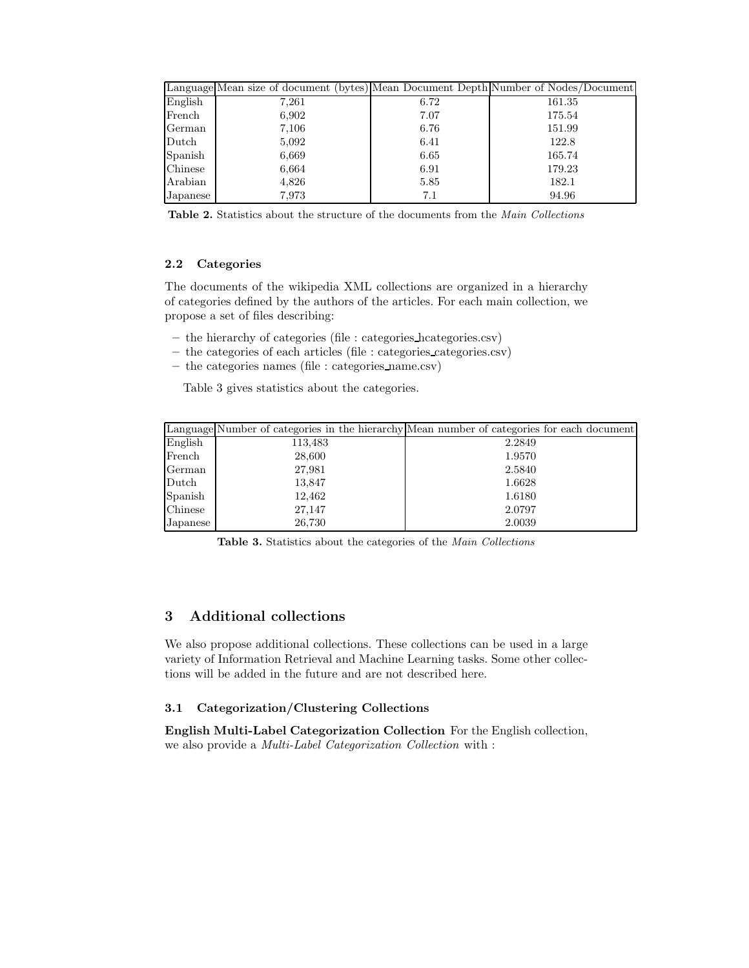|          | Language Mean size of document (bytes) Mean Document Depth Number of Nodes/Document |      |        |
|----------|-------------------------------------------------------------------------------------|------|--------|
| English  | 7,261                                                                               | 6.72 | 161.35 |
| French   | 6,902                                                                               | 7.07 | 175.54 |
| German   | 7,106                                                                               | 6.76 | 151.99 |
| Dutch    | 5,092                                                                               | 6.41 | 122.8  |
| Spanish  | 6,669                                                                               | 6.65 | 165.74 |
| Chinese  | 6,664                                                                               | 6.91 | 179.23 |
| Arabian  | 4,826                                                                               | 5.85 | 182.1  |
| Japanese | 7,973                                                                               | 7.1  | 94.96  |

Table 2. Statistics about the structure of the documents from the Main Collections

#### 2.2 Categories

The documents of the wikipedia XML collections are organized in a hierarchy of categories defined by the authors of the articles. For each main collection, we propose a set of files describing:

- the hierarchy of categories (file : categories hcategories.csv)
- the categories of each articles (file : categories categories.csv)
- the categories names (file : categories name.csv)

Table 3 gives statistics about the categories.

|          |         | Language Number of categories in the hierarchy Mean number of categories for each document |
|----------|---------|--------------------------------------------------------------------------------------------|
| English  | 113,483 | 2.2849                                                                                     |
| French   | 28,600  | 1.9570                                                                                     |
| German   | 27,981  | 2.5840                                                                                     |
| Dutch    | 13,847  | 1.6628                                                                                     |
| Spanish  | 12,462  | 1.6180                                                                                     |
| Chinese  | 27,147  | 2.0797                                                                                     |
| Japanese | 26,730  | 2.0039                                                                                     |

Table 3. Statistics about the categories of the Main Collections

# 3 Additional collections

We also propose additional collections. These collections can be used in a large variety of Information Retrieval and Machine Learning tasks. Some other collections will be added in the future and are not described here.

#### 3.1 Categorization/Clustering Collections

English Multi-Label Categorization Collection For the English collection, we also provide a Multi-Label Categorization Collection with :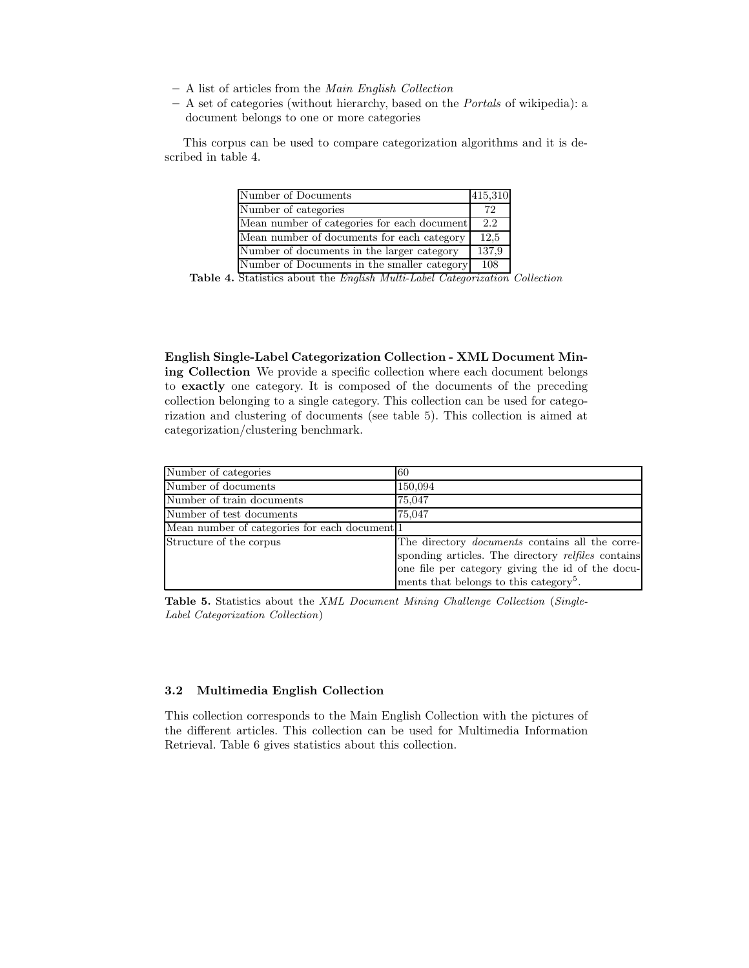- A list of articles from the Main English Collection
- $A$  set of categories (without hierarchy, based on the *Portals* of wikipedia): a document belongs to one or more categories

This corpus can be used to compare categorization algorithms and it is described in table 4.

| Number of Documents                         | 415,310 |
|---------------------------------------------|---------|
| Number of categories                        | 72      |
| Mean number of categories for each document | 2.2     |
| Mean number of documents for each category  | 12.5    |
| Number of documents in the larger category  | 137,9   |
| Number of Documents in the smaller category | 108     |

Table 4. Statistics about the *English Multi-Label Categorization Collection* 

English Single-Label Categorization Collection - XML Document Mining Collection We provide a specific collection where each document belongs to exactly one category. It is composed of the documents of the preceding collection belonging to a single category. This collection can be used for categorization and clustering of documents (see table 5). This collection is aimed at categorization/clustering benchmark.

| Number of categories                          | 60                                                     |
|-----------------------------------------------|--------------------------------------------------------|
| Number of documents                           | 150,094                                                |
| Number of train documents                     | 75,047                                                 |
| Number of test documents                      | 75,047                                                 |
| Mean number of categories for each document 1 |                                                        |
| Structure of the corpus                       | The directory <i>documents</i> contains all the corre- |
|                                               | sponding articles. The directory relfiles contains     |
|                                               | one file per category giving the id of the docu-       |
|                                               | ments that belongs to this category <sup>5</sup> .     |

Table 5. Statistics about the XML Document Mining Challenge Collection (Single-Label Categorization Collection)

#### 3.2 Multimedia English Collection

This collection corresponds to the Main English Collection with the pictures of the different articles. This collection can be used for Multimedia Information Retrieval. Table 6 gives statistics about this collection.